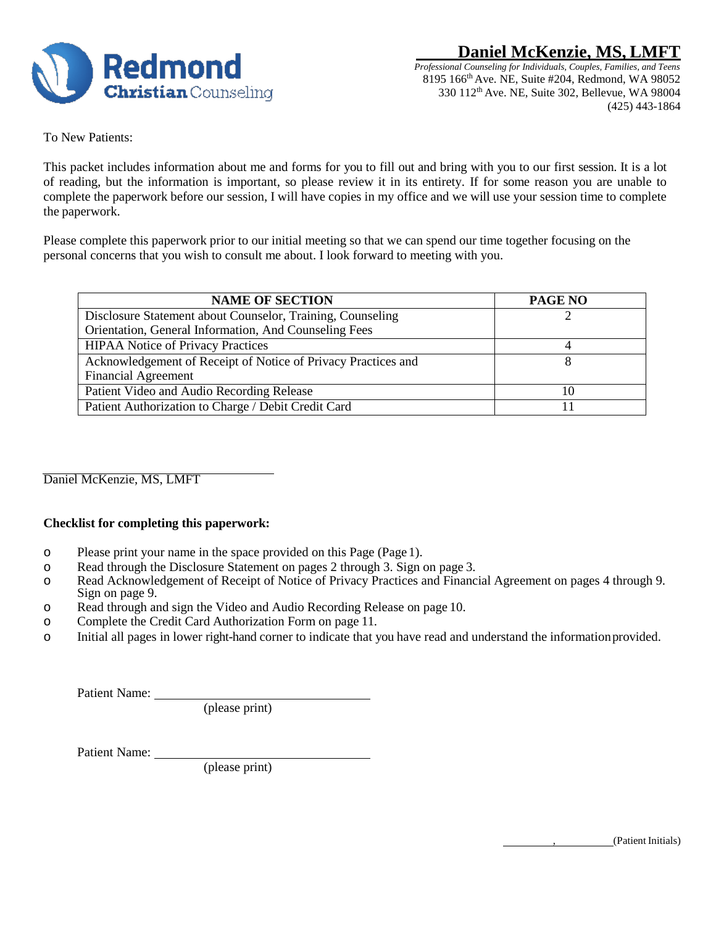

To New Patients:

This packet includes information about me and forms for you to fill out and bring with you to our first session. It is a lot of reading, but the information is important, so please review it in its entirety. If for some reason you are unable to complete the paperwork before our session, I will have copies in my office and we will use your session time to complete the paperwork.

Please complete this paperwork prior to our initial meeting so that we can spend our time together focusing on the personal concerns that you wish to consult me about. I look forward to meeting with you.

| <b>NAME OF SECTION</b>                                        | <b>PAGE NO</b> |
|---------------------------------------------------------------|----------------|
| Disclosure Statement about Counselor, Training, Counseling    |                |
| Orientation, General Information, And Counseling Fees         |                |
| <b>HIPAA Notice of Privacy Practices</b>                      |                |
| Acknowledgement of Receipt of Notice of Privacy Practices and |                |
| <b>Financial Agreement</b>                                    |                |
| Patient Video and Audio Recording Release                     | 10             |
| Patient Authorization to Charge / Debit Credit Card           |                |

Daniel McKenzie, MS, LMFT

#### **Checklist for completing this paperwork:**

- o Please print your name in the space provided on this Page (Page 1).
- o Read through the Disclosure Statement on pages 2 through 3. Sign on page 3.
- o Read Acknowledgement of Receipt of Notice of Privacy Practices and Financial Agreement on pages 4 through 9. Sign on page 9.
- o Read through and sign the Video and Audio Recording Release on page 10.
- o Complete the Credit Card Authorization Form on page 11.
- o Initial all pages in lower right-hand corner to indicate that you have read and understand the information provided.

Patient Name:

(please print)

Patient Name:

(please print)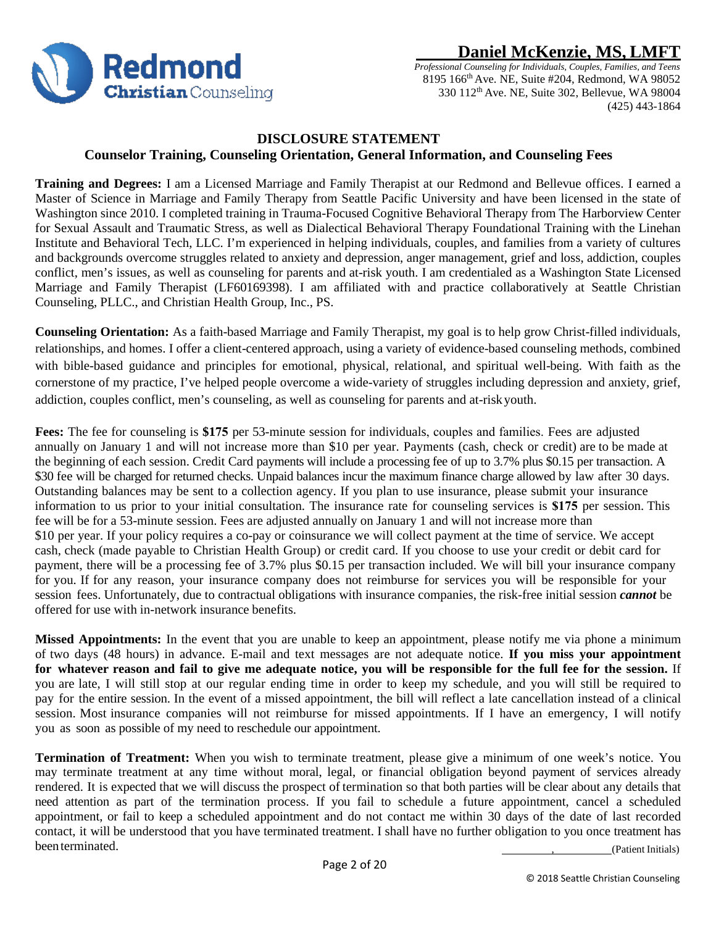

*Professional Counseling for Individuals, Couples, Families, and Teens* 8195 166th Ave. NE, Suite #204, Redmond, WA 98052 330 112th Ave. NE, Suite 302, Bellevue, WA 98004 (425) 443-1864

## **DISCLOSURE STATEMENT Counselor Training, Counseling Orientation, General Information, and Counseling Fees**

**Training and Degrees:** I am a Licensed Marriage and Family Therapist at our Redmond and Bellevue offices. I earned a Master of Science in Marriage and Family Therapy from Seattle Pacific University and have been licensed in the state of Washington since 2010. I completed training in Trauma-Focused Cognitive Behavioral Therapy from The Harborview Center for Sexual Assault and Traumatic Stress, as well as Dialectical Behavioral Therapy Foundational Training with the Linehan Institute and Behavioral Tech, LLC. I'm experienced in helping individuals, couples, and families from a variety of cultures and backgrounds overcome struggles related to anxiety and depression, anger management, grief and loss, addiction, couples conflict, men's issues, as well as counseling for parents and at-risk youth. I am credentialed as a Washington State Licensed Marriage and Family Therapist (LF60169398). I am affiliated with and practice collaboratively at Seattle Christian Counseling, PLLC., and Christian Health Group, Inc., PS.

**Counseling Orientation:** As a faith-based Marriage and Family Therapist, my goal is to help grow Christ-filled individuals, relationships, and homes. I offer a client-centered approach, using a variety of evidence-based counseling methods, combined with bible-based guidance and principles for emotional, physical, relational, and spiritual well-being. With faith as the cornerstone of my practice, I've helped people overcome a wide-variety of struggles including depression and anxiety, grief, addiction, couples conflict, men's counseling, as well as counseling for parents and at-riskyouth.

**Fees:** The fee for counseling is **\$175** per 53-minute session for individuals, couples and families. Fees are adjusted annually on January 1 and will not increase more than \$10 per year. Payments (cash, check or credit) are to be made at the beginning of each session. Credit Card payments will include a processing fee of up to 3.7% plus \$0.15 per transaction. A \$30 fee will be charged for returned checks. Unpaid balances incur the maximum finance charge allowed by law after 30 days. Outstanding balances may be sent to a collection agency. If you plan to use insurance, please submit your insurance information to us prior to your initial consultation. The insurance rate for counseling services is **\$175** per session. This fee will be for a 53-minute session. Fees are adjusted annually on January 1 and will not increase more than \$10 per year. If your policy requires a co-pay or coinsurance we will collect payment at the time of service. We accept cash, check (made payable to Christian Health Group) or credit card. If you choose to use your credit or debit card for payment, there will be a processing fee of 3.7% plus \$0.15 per transaction included. We will bill your insurance company for you. If for any reason, your insurance company does not reimburse for services you will be responsible for your session fees. Unfortunately, due to contractual obligations with insurance companies, the risk-free initial session *cannot* be offered for use with in-network insurance benefits.

**Missed Appointments:** In the event that you are unable to keep an appointment, please notify me via phone a minimum of two days (48 hours) in advance. E-mail and text messages are not adequate notice. **If you miss your appointment for whatever reason and fail to give me adequate notice, you will be responsible for the full fee for the session.** If you are late, I will still stop at our regular ending time in order to keep my schedule, and you will still be required to pay for the entire session. In the event of a missed appointment, the bill will reflect a late cancellation instead of a clinical session. Most insurance companies will not reimburse for missed appointments. If I have an emergency, I will notify you as soon as possible of my need to reschedule our appointment.

, (Patient Initials) **Termination of Treatment:** When you wish to terminate treatment, please give a minimum of one week's notice. You may terminate treatment at any time without moral, legal, or financial obligation beyond payment of services already rendered. It is expected that we will discuss the prospect of termination so that both parties will be clear about any details that need attention as part of the termination process. If you fail to schedule a future appointment, cancel a scheduled appointment, or fail to keep a scheduled appointment and do not contact me within 30 days of the date of last recorded contact, it will be understood that you have terminated treatment. I shall have no further obligation to you once treatment has beenterminated.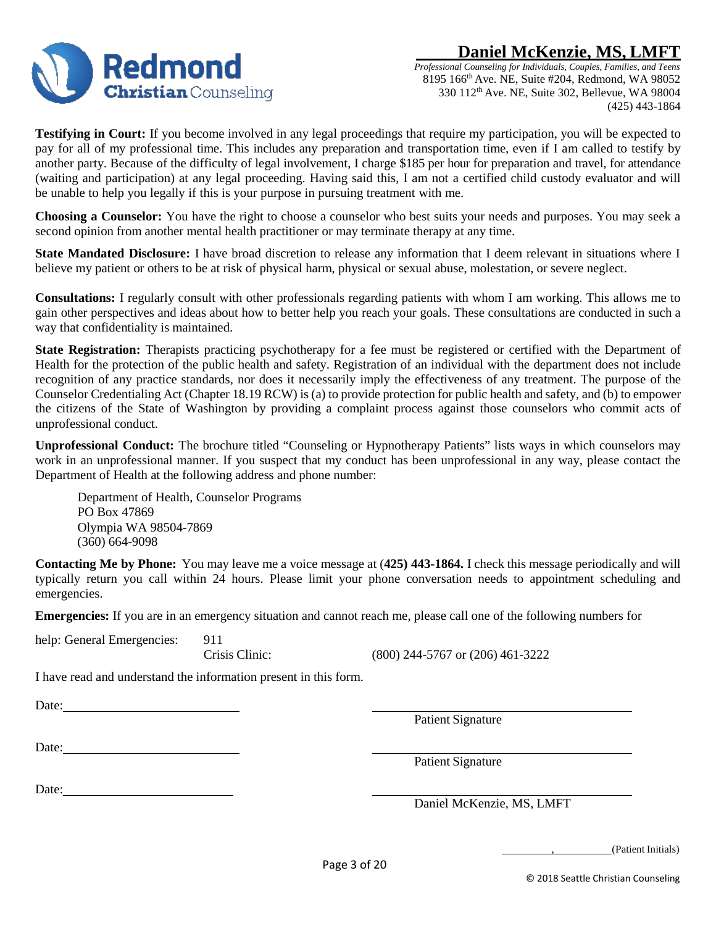

*Professional Counseling for Individuals, Couples, Families, and Teens* 8195 166th Ave. NE, Suite #204, Redmond, WA 98052 330 112th Ave. NE, Suite 302, Bellevue, WA 98004 (425) 443-1864

**Testifying in Court:** If you become involved in any legal proceedings that require my participation, you will be expected to pay for all of my professional time. This includes any preparation and transportation time, even if I am called to testify by another party. Because of the difficulty of legal involvement, I charge \$185 per hour for preparation and travel, for attendance (waiting and participation) at any legal proceeding. Having said this, I am not a certified child custody evaluator and will be unable to help you legally if this is your purpose in pursuing treatment with me.

**Choosing a Counselor:** You have the right to choose a counselor who best suits your needs and purposes. You may seek a second opinion from another mental health practitioner or may terminate therapy at any time.

**State Mandated Disclosure:** I have broad discretion to release any information that I deem relevant in situations where I believe my patient or others to be at risk of physical harm, physical or sexual abuse, molestation, or severe neglect.

**Consultations:** I regularly consult with other professionals regarding patients with whom I am working. This allows me to gain other perspectives and ideas about how to better help you reach your goals. These consultations are conducted in such a way that confidentiality is maintained.

**State Registration:** Therapists practicing psychotherapy for a fee must be registered or certified with the Department of Health for the protection of the public health and safety. Registration of an individual with the department does not include recognition of any practice standards, nor does it necessarily imply the effectiveness of any treatment. The purpose of the Counselor Credentialing Act (Chapter 18.19 RCW) is (a) to provide protection for public health and safety, and (b) to empower the citizens of the State of Washington by providing a complaint process against those counselors who commit acts of unprofessional conduct.

**Unprofessional Conduct:** The brochure titled "Counseling or Hypnotherapy Patients" lists ways in which counselors may work in an unprofessional manner. If you suspect that my conduct has been unprofessional in any way, please contact the Department of Health at the following address and phone number:

Department of Health, Counselor Programs PO Box 47869 Olympia WA 98504-7869 (360) 664-9098

**Contacting Me by Phone:** You may leave me a voice message at (**425) 443-1864.** I check this message periodically and will typically return you call within 24 hours. Please limit your phone conversation needs to appointment scheduling and emergencies.

**Emergencies:** If you are in an emergency situation and cannot reach me, please call one of the following numbers for

help: General Emergencies: 911

Crisis Clinic: (800) 244-5767 or (206) 461-3222

I have read and understand the information present in this form.

Date:

Patient Signature

Date:

Date:

Patient Signature

Daniel McKenzie, MS, LMFT

, (Patient Initials)

© 2018 Seattle Christian Counseling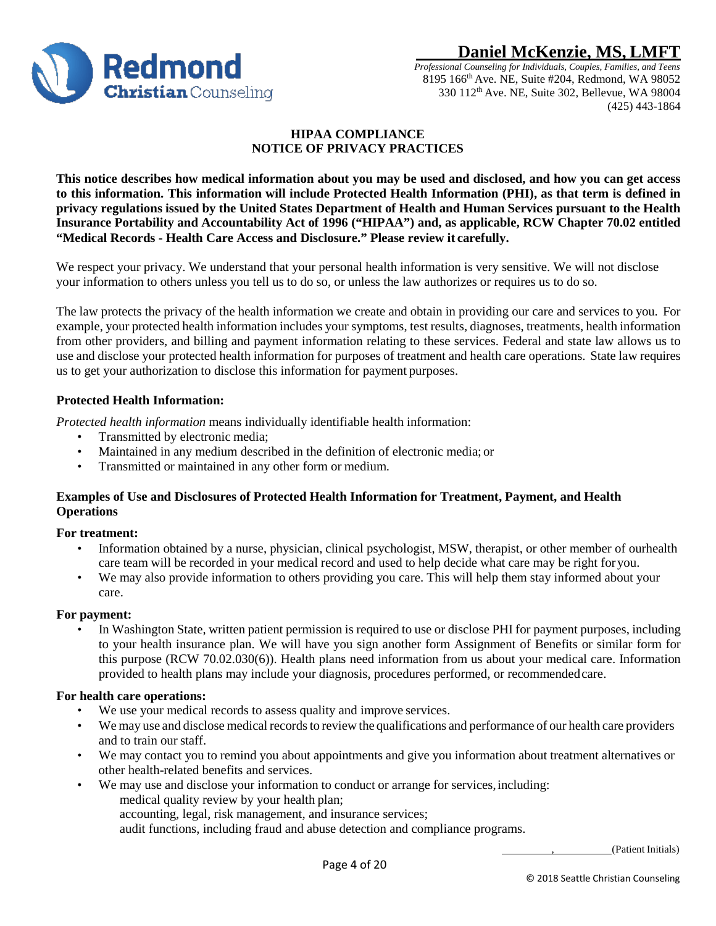

*Professional Counseling for Individuals, Couples, Families, and Teens* 8195 166th Ave. NE, Suite #204, Redmond, WA 98052 330 112th Ave. NE, Suite 302, Bellevue, WA 98004 (425) 443-1864

## **HIPAA COMPLIANCE NOTICE OF PRIVACY PRACTICES**

**This notice describes how medical information about you may be used and disclosed, and how you can get access to this information. This information will include Protected Health Information (PHI), as that term is defined in**  privacy regulations issued by the United States Department of Health and Human Services pursuant to the Health **Insurance Portability and Accountability Act of 1996 ("HIPAA") and, as applicable, RCW Chapter 70.02 entitled "Medical Records - Health Care Access and Disclosure." Please review it carefully.**

We respect your privacy. We understand that your personal health information is very sensitive. We will not disclose your information to others unless you tell us to do so, or unless the law authorizes or requires us to do so.

The law protects the privacy of the health information we create and obtain in providing our care and services to you. For example, your protected health information includes your symptoms, test results, diagnoses, treatments, health information from other providers, and billing and payment information relating to these services. Federal and state law allows us to use and disclose your protected health information for purposes of treatment and health care operations. State law requires us to get your authorization to disclose this information for payment purposes.

## **Protected Health Information:**

*Protected health information* means individually identifiable health information:

- Transmitted by electronic media;
- Maintained in any medium described in the definition of electronic media; or
- Transmitted or maintained in any other form or medium.

## **Examples of Use and Disclosures of Protected Health Information for Treatment, Payment, and Health Operations**

#### **For treatment:**

- Information obtained by a nurse, physician, clinical psychologist, MSW, therapist, or other member of ourhealth care team will be recorded in your medical record and used to help decide what care may be right foryou.
- We may also provide information to others providing you care. This will help them stay informed about your care.

#### **For payment:**

In Washington State, written patient permission is required to use or disclose PHI for payment purposes, including to your health insurance plan. We will have you sign another form Assignment of Benefits or similar form for this purpose (RCW 70.02.030(6)). Health plans need information from us about your medical care. Information provided to health plans may include your diagnosis, procedures performed, or recommendedcare.

#### **For health care operations:**

- We use your medical records to assess quality and improve services.
- We may use and disclose medical records to review the qualifications and performance of our health care providers and to train our staff.
- We may contact you to remind you about appointments and give you information about treatment alternatives or other health-related benefits and services.
- We may use and disclose your information to conduct or arrange for services,including: medical quality review by your health plan;
	- accounting, legal, risk management, and insurance services;

audit functions, including fraud and abuse detection and compliance programs.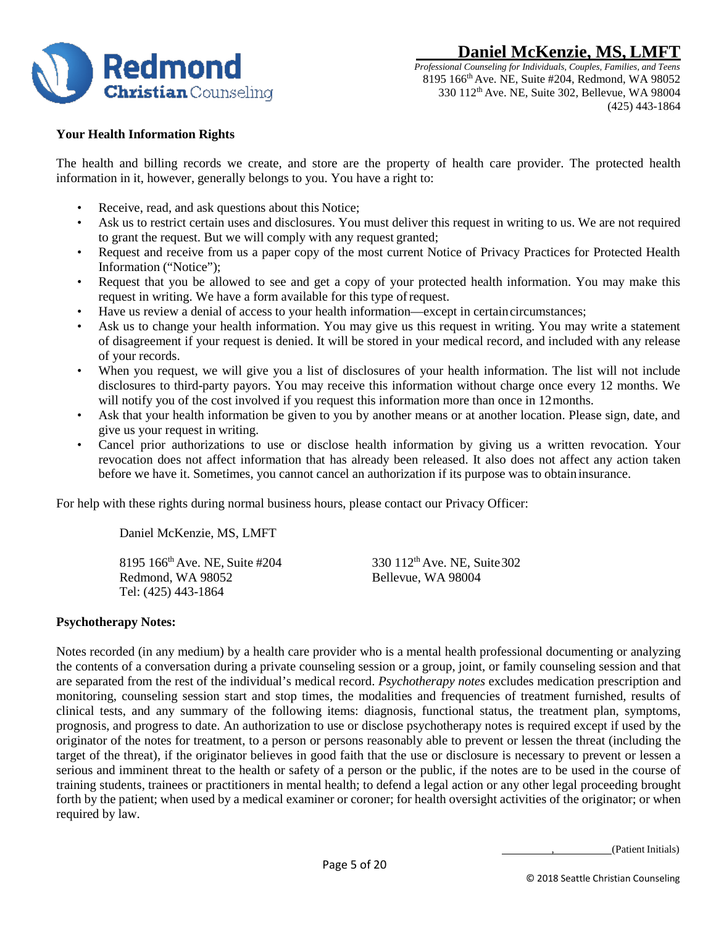

## **Your Health Information Rights**

The health and billing records we create, and store are the property of health care provider. The protected health information in it, however, generally belongs to you. You have a right to:

- Receive, read, and ask questions about this Notice;
- Ask us to restrict certain uses and disclosures. You must deliver this request in writing to us. We are not required to grant the request. But we will comply with any request granted;
- Request and receive from us a paper copy of the most current Notice of Privacy Practices for Protected Health Information ("Notice");
- Request that you be allowed to see and get a copy of your protected health information. You may make this request in writing. We have a form available for this type ofrequest.
- Have us review a denial of access to your health information—except in certaincircumstances;
- Ask us to change your health information. You may give us this request in writing. You may write a statement of disagreement if your request is denied. It will be stored in your medical record, and included with any release of your records.
- When you request, we will give you a list of disclosures of your health information. The list will not include disclosures to third-party payors. You may receive this information without charge once every 12 months. We will notify you of the cost involved if you request this information more than once in 12 months.
- Ask that your health information be given to you by another means or at another location. Please sign, date, and give us your request in writing.
- Cancel prior authorizations to use or disclose health information by giving us a written revocation. Your revocation does not affect information that has already been released. It also does not affect any action taken before we have it. Sometimes, you cannot cancel an authorization if its purpose was to obtain insurance.

For help with these rights during normal business hours, please contact our Privacy Officer:

Daniel McKenzie, MS, LMFT

8195 166<sup>th</sup> Ave. NE, Suite #204 330 112<sup>th</sup> Ave. NE, Suite 302 Redmond, WA 98052 Bellevue, WA 98004 Tel: (425) 443-1864

#### **Psychotherapy Notes:**

Notes recorded (in any medium) by a health care provider who is a mental health professional documenting or analyzing the contents of a conversation during a private counseling session or a group, joint, or family counseling session and that are separated from the rest of the individual's medical record. *Psychotherapy notes* excludes medication prescription and monitoring, counseling session start and stop times, the modalities and frequencies of treatment furnished, results of clinical tests, and any summary of the following items: diagnosis, functional status, the treatment plan, symptoms, prognosis, and progress to date. An authorization to use or disclose psychotherapy notes is required except if used by the originator of the notes for treatment, to a person or persons reasonably able to prevent or lessen the threat (including the target of the threat), if the originator believes in good faith that the use or disclosure is necessary to prevent or lessen a serious and imminent threat to the health or safety of a person or the public, if the notes are to be used in the course of training students, trainees or practitioners in mental health; to defend a legal action or any other legal proceeding brought forth by the patient; when used by a medical examiner or coroner; for health oversight activities of the originator; or when required by law.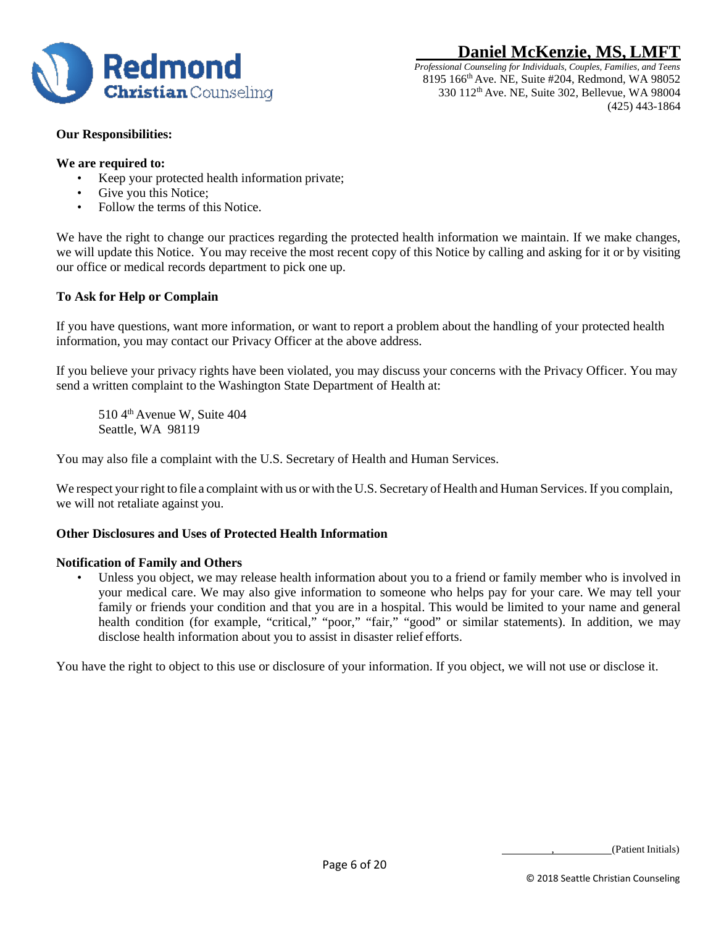



## **Our Responsibilities:**

#### **We are required to:**

- Keep your protected health information private;
- Give you this Notice;
- Follow the terms of this Notice.

We have the right to change our practices regarding the protected health information we maintain. If we make changes, we will update this Notice. You may receive the most recent copy of this Notice by calling and asking for it or by visiting our office or medical records department to pick one up.

## **To Ask for Help or Complain**

If you have questions, want more information, or want to report a problem about the handling of your protected health information, you may contact our Privacy Officer at the above address.

If you believe your privacy rights have been violated, you may discuss your concerns with the Privacy Officer. You may send a written complaint to the Washington State Department of Health at:

510 4th Avenue W, Suite 404 Seattle, WA 98119

You may also file a complaint with the U.S. Secretary of Health and Human Services.

We respect your right to file a complaint with us or with the U.S. Secretary of Health and Human Services. If you complain, we will not retaliate against you.

## **Other Disclosures and Uses of Protected Health Information**

#### **Notification of Family and Others**

Unless you object, we may release health information about you to a friend or family member who is involved in your medical care. We may also give information to someone who helps pay for your care. We may tell your family or friends your condition and that you are in a hospital. This would be limited to your name and general health condition (for example, "critical," "poor," "fair," "good" or similar statements). In addition, we may disclose health information about you to assist in disaster relief efforts.

You have the right to object to this use or disclosure of your information. If you object, we will not use or disclose it.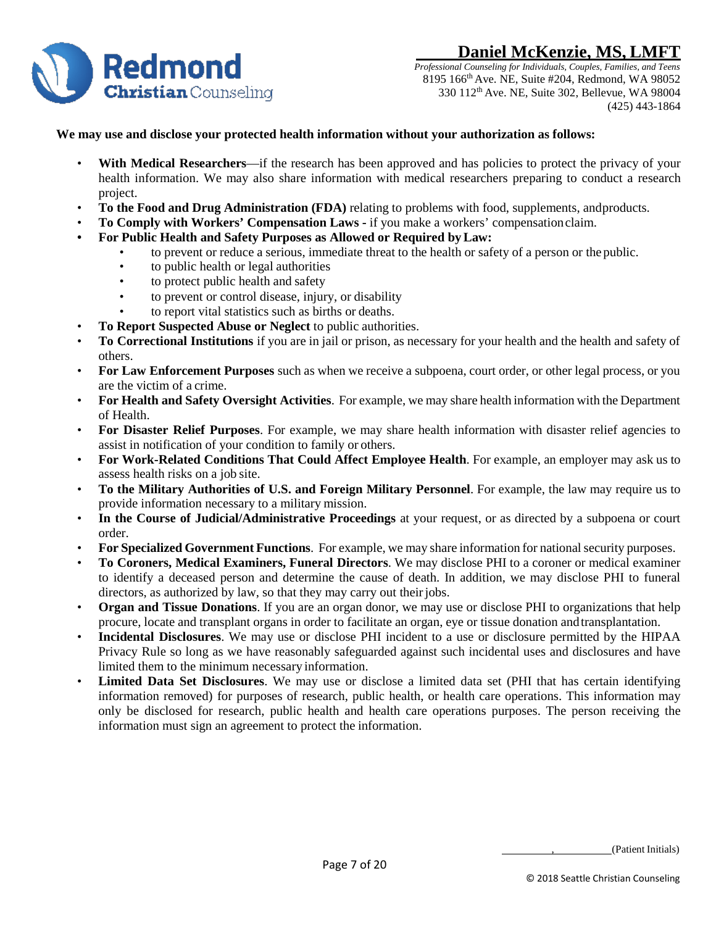

*Professional Counseling for Individuals, Couples, Families, and Teens* 8195 166th Ave. NE, Suite #204, Redmond, WA 98052 330 112th Ave. NE, Suite 302, Bellevue, WA 98004 (425) 443-1864

#### **We may use and disclose your protected health information without your authorization as follows:**

- **With Medical Researchers**—if the research has been approved and has policies to protect the privacy of your health information. We may also share information with medical researchers preparing to conduct a research project.
- **To the Food and Drug Administration (FDA)** relating to problems with food, supplements, andproducts.
- **To Comply with Workers' Compensation Laws -** if you make a workers' compensationclaim.
- **• For Public Health and Safety Purposes as Allowed or Required byLaw:**
	- to prevent or reduce a serious, immediate threat to the health or safety of a person or the public.
	- to public health or legal authorities
	- to protect public health and safety
	- to prevent or control disease, injury, or disability
	- to report vital statistics such as births or deaths.
- **To Report Suspected Abuse or Neglect** to public authorities.
- **To Correctional Institutions** if you are in jail or prison, as necessary for your health and the health and safety of others.
- **For Law Enforcement Purposes** such as when we receive a subpoena, court order, or other legal process, or you are the victim of a crime.
- **For Health and Safety Oversight Activities**. For example, we may share health information with the Department of Health.
- **For Disaster Relief Purposes**. For example, we may share health information with disaster relief agencies to assist in notification of your condition to family or others.
- **For Work-Related Conditions That Could Affect Employee Health**. For example, an employer may ask us to assess health risks on a job site.
- **To the Military Authorities of U.S. and Foreign Military Personnel**. For example, the law may require us to provide information necessary to a military mission.
- **In the Course of Judicial/Administrative Proceedings** at your request, or as directed by a subpoena or court order.
- **For Specialized Government Functions**. For example, we may share information for nationalsecurity purposes.
- **To Coroners, Medical Examiners, Funeral Directors**. We may disclose PHI to a coroner or medical examiner to identify a deceased person and determine the cause of death. In addition, we may disclose PHI to funeral directors, as authorized by law, so that they may carry out their jobs.
- **Organ and Tissue Donations**. If you are an organ donor, we may use or disclose PHI to organizations that help procure, locate and transplant organs in order to facilitate an organ, eye or tissue donation andtransplantation.
- **Incidental Disclosures**. We may use or disclose PHI incident to a use or disclosure permitted by the HIPAA Privacy Rule so long as we have reasonably safeguarded against such incidental uses and disclosures and have limited them to the minimum necessary information.
- **Limited Data Set Disclosures**. We may use or disclose a limited data set (PHI that has certain identifying information removed) for purposes of research, public health, or health care operations. This information may only be disclosed for research, public health and health care operations purposes. The person receiving the information must sign an agreement to protect the information.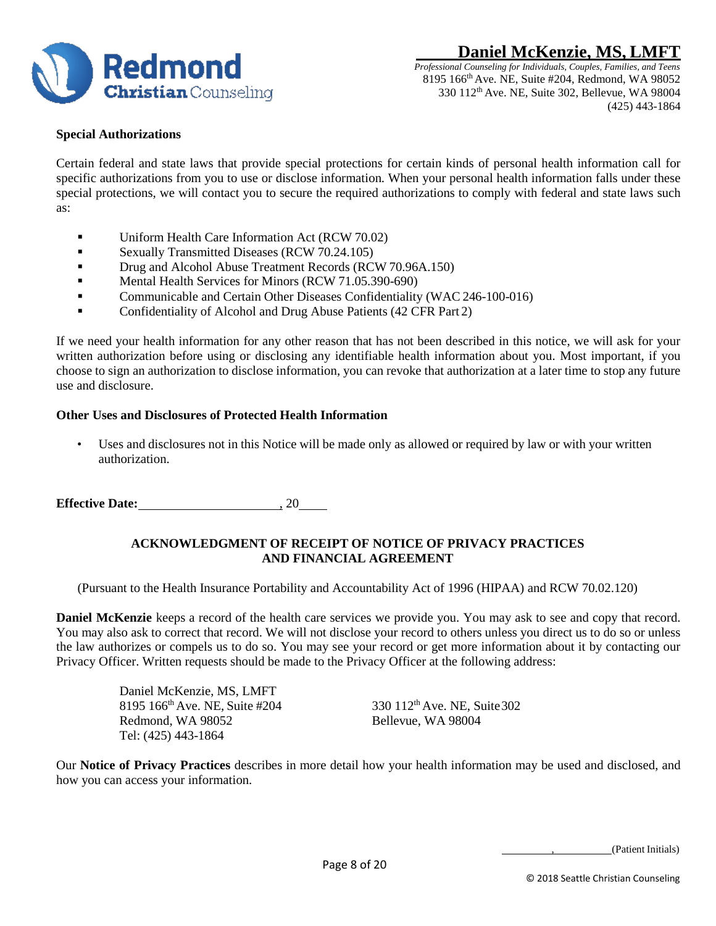



## **Special Authorizations**

Certain federal and state laws that provide special protections for certain kinds of personal health information call for specific authorizations from you to use or disclose information. When your personal health information falls under these special protections, we will contact you to secure the required authorizations to comply with federal and state laws such as:

- Uniform Health Care Information Act (RCW 70.02)
- Sexually Transmitted Diseases (RCW 70.24.105)
- **Drug and Alcohol Abuse Treatment Records (RCW 70.96A.150)**
- **Mental Health Services for Minors (RCW 71.05.390-690)**
- Communicable and Certain Other Diseases Confidentiality (WAC 246-100-016)
- **Confidentiality of Alcohol and Drug Abuse Patients (42 CFR Part 2)**

If we need your health information for any other reason that has not been described in this notice, we will ask for your written authorization before using or disclosing any identifiable health information about you. Most important, if you choose to sign an authorization to disclose information, you can revoke that authorization at a later time to stop any future use and disclosure.

#### **Other Uses and Disclosures of Protected Health Information**

Uses and disclosures not in this Notice will be made only as allowed or required by law or with your written authorization.

**Effective Date:** , 20

## **ACKNOWLEDGMENT OF RECEIPT OF NOTICE OF PRIVACY PRACTICES AND FINANCIAL AGREEMENT**

(Pursuant to the Health Insurance Portability and Accountability Act of 1996 (HIPAA) and RCW 70.02.120)

**Daniel McKenzie** keeps a record of the health care services we provide you. You may ask to see and copy that record. You may also ask to correct that record. We will not disclose your record to others unless you direct us to do so or unless the law authorizes or compels us to do so. You may see your record or get more information about it by contacting our Privacy Officer. Written requests should be made to the Privacy Officer at the following address:

> Daniel McKenzie, MS, LMFT 8195 166<sup>th</sup> Ave. NE, Suite #204 330 112<sup>th</sup> Ave. NE, Suite 302 Redmond, WA 98052 Bellevue, WA 98004 Redmond, WA 98052 Tel: (425) 443-1864

Our **Notice of Privacy Practices** describes in more detail how your health information may be used and disclosed, and how you can access your information.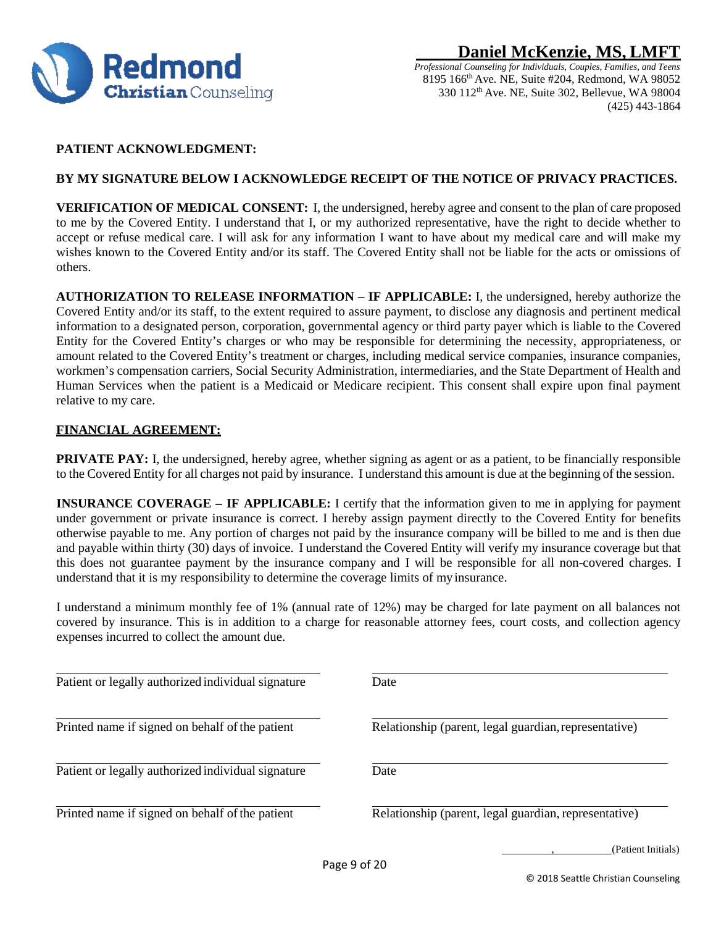

## **PATIENT ACKNOWLEDGMENT:**

## **BY MY SIGNATURE BELOW I ACKNOWLEDGE RECEIPT OF THE NOTICE OF PRIVACY PRACTICES.**

**VERIFICATION OF MEDICAL CONSENT:** I, the undersigned, hereby agree and consent to the plan of care proposed to me by the Covered Entity. I understand that I, or my authorized representative, have the right to decide whether to accept or refuse medical care. I will ask for any information I want to have about my medical care and will make my wishes known to the Covered Entity and/or its staff. The Covered Entity shall not be liable for the acts or omissions of others.

**AUTHORIZATION TO RELEASE INFORMATION – IF APPLICABLE:** I, the undersigned, hereby authorize the Covered Entity and/or its staff, to the extent required to assure payment, to disclose any diagnosis and pertinent medical information to a designated person, corporation, governmental agency or third party payer which is liable to the Covered Entity for the Covered Entity's charges or who may be responsible for determining the necessity, appropriateness, or amount related to the Covered Entity's treatment or charges, including medical service companies, insurance companies, workmen's compensation carriers, Social Security Administration, intermediaries, and the State Department of Health and Human Services when the patient is a Medicaid or Medicare recipient. This consent shall expire upon final payment relative to my care.

## **FINANCIAL AGREEMENT:**

**PRIVATE PAY:** I, the undersigned, hereby agree, whether signing as agent or as a patient, to be financially responsible to the Covered Entity for all charges not paid by insurance. I understand this amount is due at the beginning of the session.

**INSURANCE COVERAGE – IF APPLICABLE:** I certify that the information given to me in applying for payment under government or private insurance is correct. I hereby assign payment directly to the Covered Entity for benefits otherwise payable to me. Any portion of charges not paid by the insurance company will be billed to me and is then due and payable within thirty (30) days of invoice. I understand the Covered Entity will verify my insurance coverage but that this does not guarantee payment by the insurance company and I will be responsible for all non-covered charges. I understand that it is my responsibility to determine the coverage limits of my insurance.

I understand a minimum monthly fee of 1% (annual rate of 12%) may be charged for late payment on all balances not covered by insurance. This is in addition to a charge for reasonable attorney fees, court costs, and collection agency expenses incurred to collect the amount due.

| Patient or legally authorized individual signature | Date                                                  |
|----------------------------------------------------|-------------------------------------------------------|
| Printed name if signed on behalf of the patient    | Relationship (parent, legal guardian, representative) |
| Patient or legally authorized individual signature | Date                                                  |
| Printed name if signed on behalf of the patient    | Relationship (parent, legal guardian, representative) |
|                                                    | (Patient Initials)<br>Page 9 of 20                    |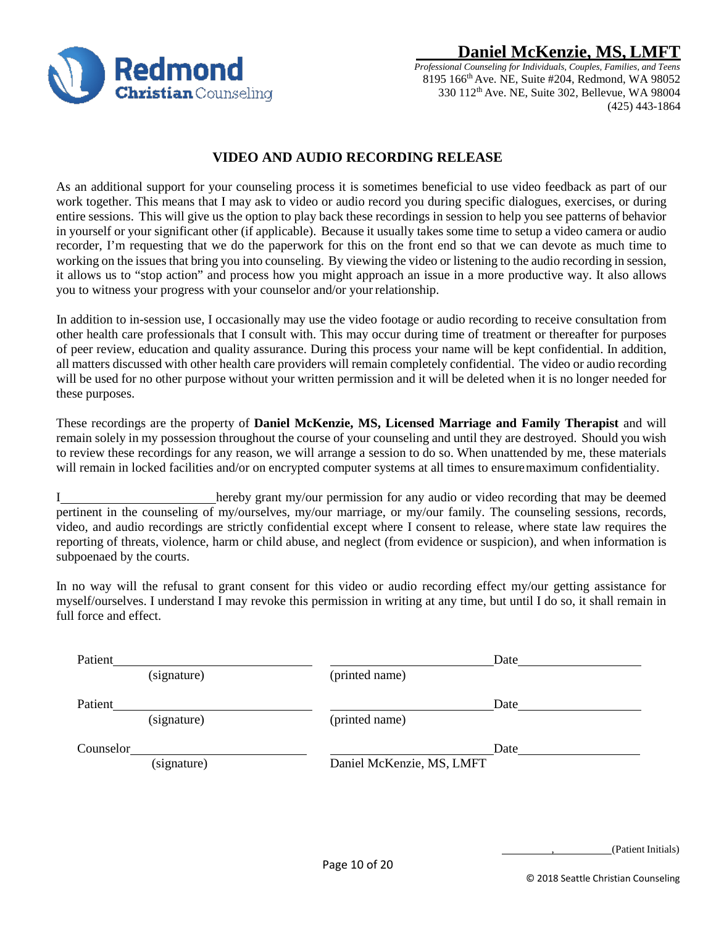**Redmond Christian** Counseling

# **Daniel McKenzie, MS, LMI**

*Professional Counseling for Individuals, Couples, Families, and Teens* 8195 166th Ave. NE, Suite #204, Redmond, WA 98052 330 112th Ave. NE, Suite 302, Bellevue, WA 98004 (425) 443-1864

## **VIDEO AND AUDIO RECORDING RELEASE**

As an additional support for your counseling process it is sometimes beneficial to use video feedback as part of our work together. This means that I may ask to video or audio record you during specific dialogues, exercises, or during entire sessions. This will give us the option to play back these recordings in session to help you see patterns of behavior in yourself or your significant other (if applicable). Because it usually takes some time to setup a video camera or audio recorder, I'm requesting that we do the paperwork for this on the front end so that we can devote as much time to working on the issues that bring you into counseling. By viewing the video or listening to the audio recording in session, it allows us to "stop action" and process how you might approach an issue in a more productive way. It also allows you to witness your progress with your counselor and/or your relationship.

In addition to in-session use, I occasionally may use the video footage or audio recording to receive consultation from other health care professionals that I consult with. This may occur during time of treatment or thereafter for purposes of peer review, education and quality assurance. During this process your name will be kept confidential. In addition, all matters discussed with other health care providers will remain completely confidential. The video or audio recording will be used for no other purpose without your written permission and it will be deleted when it is no longer needed for these purposes.

These recordings are the property of **Daniel McKenzie, MS, Licensed Marriage and Family Therapist** and will remain solely in my possession throughout the course of your counseling and until they are destroyed. Should you wish to review these recordings for any reason, we will arrange a session to do so. When unattended by me, these materials will remain in locked facilities and/or on encrypted computer systems at all times to ensuremaximum confidentiality.

I hereby grant my/our permission for any audio or video recording that may be deemed pertinent in the counseling of my/ourselves, my/our marriage, or my/our family. The counseling sessions, records, video, and audio recordings are strictly confidential except where I consent to release, where state law requires the reporting of threats, violence, harm or child abuse, and neglect (from evidence or suspicion), and when information is subpoenaed by the courts.

In no way will the refusal to grant consent for this video or audio recording effect my/our getting assistance for myself/ourselves. I understand I may revoke this permission in writing at any time, but until I do so, it shall remain in full force and effect.

| Patient   |             |                           | Date |
|-----------|-------------|---------------------------|------|
|           | (signature) | (printed name)            |      |
| Patient   |             |                           | Date |
|           | (signature) | (printed name)            |      |
| Counselor |             |                           | Date |
|           | (signature) | Daniel McKenzie, MS, LMFT |      |